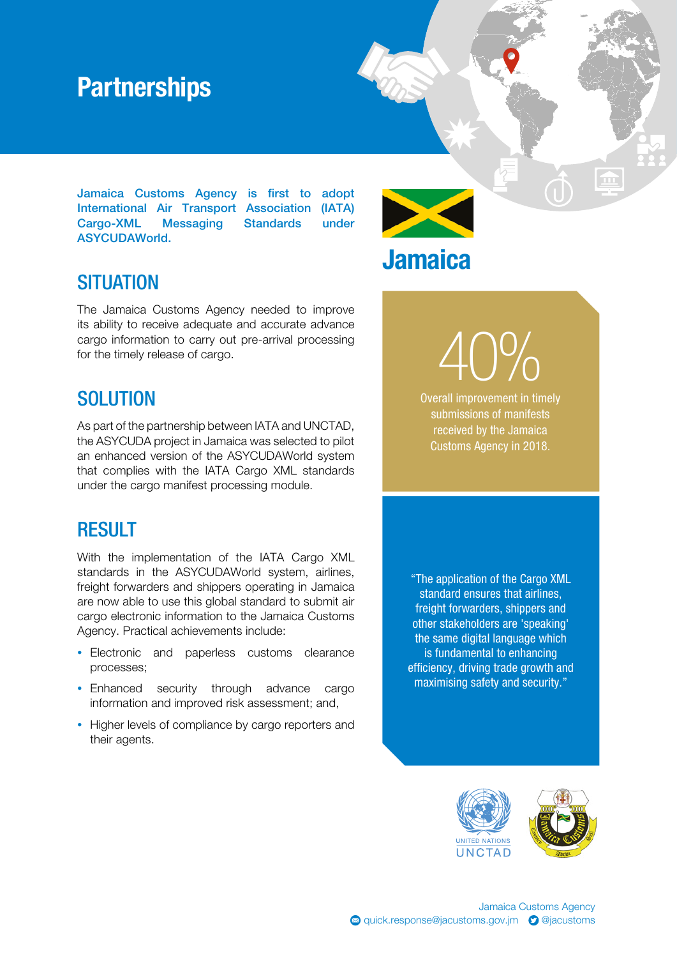## **Partnerships**

Jamaica Customs Agency is first to adopt International Air Transport Association (IATA) Cargo-XML Messaging Standards under ASYCUDAWorld.



**Jamaica** 

### **SITUATION**

The Jamaica Customs Agency needed to improve its ability to receive adequate and accurate advance cargo information to carry out pre-arrival processing for the timely release of cargo.

#### **SOLUTION**

As part of the partnership between IATA and UNCTAD, the ASYCUDA project in Jamaica was selected to pilot an enhanced version of the ASYCUDAWorld system that complies with the IATA Cargo XML standards under the cargo manifest processing module.

#### **RESULT**

With the implementation of the IATA Cargo XML standards in the ASYCUDAWorld system, airlines, freight forwarders and shippers operating in Jamaica are now able to use this global standard to submit air cargo electronic information to the Jamaica Customs Agency. Practical achievements include:

- Electronic and paperless customs clearance processes;
- Enhanced security through advance cargo information and improved risk assessment; and,
- Higher levels of compliance by cargo reporters and their agents.

Overall improvement in timely submissions of manifests received by the Jamaica Customs Agency in 2018.

 $40%$ 

 $\boxed{\mathbf{m}}$ 

"The application of the Cargo XML standard ensures that airlines, freight forwarders, shippers and other stakeholders are 'speaking' the same digital language which is fundamental to enhancing efficiency, driving trade growth and maximising safety and security."